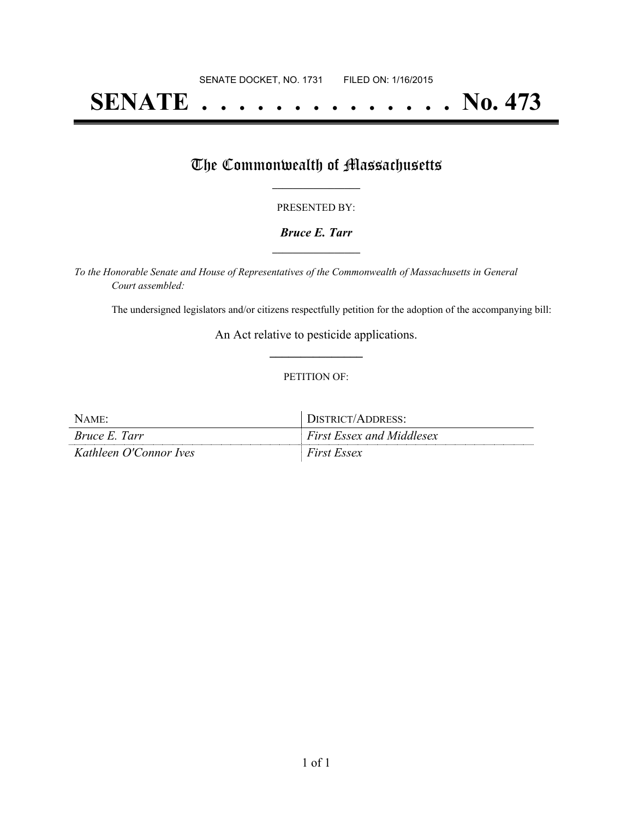# **SENATE . . . . . . . . . . . . . . No. 473**

## The Commonwealth of Massachusetts

#### PRESENTED BY:

#### *Bruce E. Tarr* **\_\_\_\_\_\_\_\_\_\_\_\_\_\_\_\_\_**

*To the Honorable Senate and House of Representatives of the Commonwealth of Massachusetts in General Court assembled:*

The undersigned legislators and/or citizens respectfully petition for the adoption of the accompanying bill:

An Act relative to pesticide applications. **\_\_\_\_\_\_\_\_\_\_\_\_\_\_\_**

#### PETITION OF:

| Name:                  | DISTRICT/ADDRESS:                |
|------------------------|----------------------------------|
| Bruce E. Tarr          | <b>First Essex and Middlesex</b> |
| Kathleen O'Connor Ives | <b>First Essex</b>               |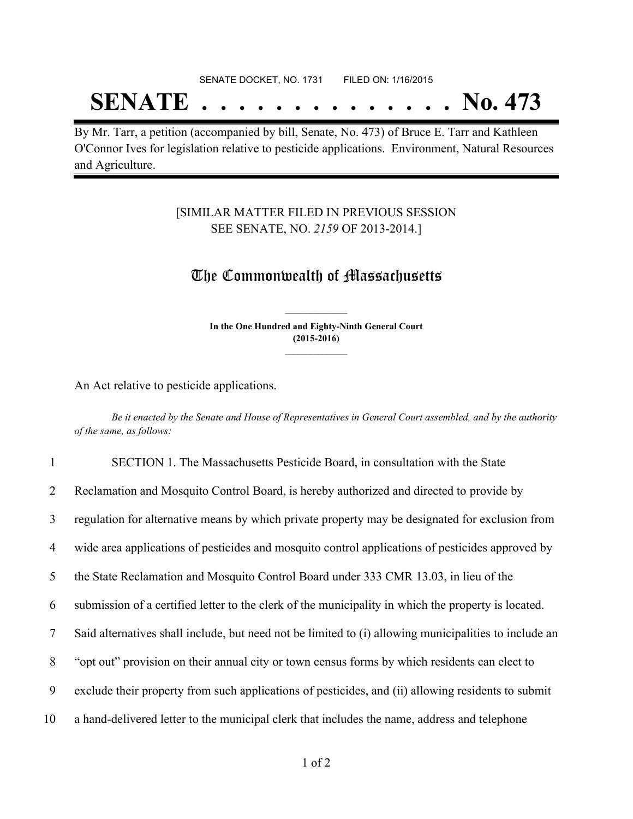## SENATE DOCKET, NO. 1731 FILED ON: 1/16/2015 **SENATE . . . . . . . . . . . . . . No. 473**

By Mr. Tarr, a petition (accompanied by bill, Senate, No. 473) of Bruce E. Tarr and Kathleen O'Connor Ives for legislation relative to pesticide applications. Environment, Natural Resources and Agriculture.

### [SIMILAR MATTER FILED IN PREVIOUS SESSION SEE SENATE, NO. *2159* OF 2013-2014.]

## The Commonwealth of Massachusetts

**In the One Hundred and Eighty-Ninth General Court (2015-2016) \_\_\_\_\_\_\_\_\_\_\_\_\_\_\_**

**\_\_\_\_\_\_\_\_\_\_\_\_\_\_\_**

An Act relative to pesticide applications.

Be it enacted by the Senate and House of Representatives in General Court assembled, and by the authority *of the same, as follows:*

| $\mathbf{1}$   | SECTION 1. The Massachusetts Pesticide Board, in consultation with the State                          |
|----------------|-------------------------------------------------------------------------------------------------------|
| 2              | Reclamation and Mosquito Control Board, is hereby authorized and directed to provide by               |
| 3              | regulation for alternative means by which private property may be designated for exclusion from       |
| $\overline{4}$ | wide area applications of pesticides and mosquito control applications of pesticides approved by      |
| 5              | the State Reclamation and Mosquito Control Board under 333 CMR 13.03, in lieu of the                  |
| 6              | submission of a certified letter to the clerk of the municipality in which the property is located.   |
| 7              | Said alternatives shall include, but need not be limited to (i) allowing municipalities to include an |
| 8              | "opt out" provision on their annual city or town census forms by which residents can elect to         |
| 9              | exclude their property from such applications of pesticides, and (ii) allowing residents to submit    |
| 10             | a hand-delivered letter to the municipal clerk that includes the name, address and telephone          |